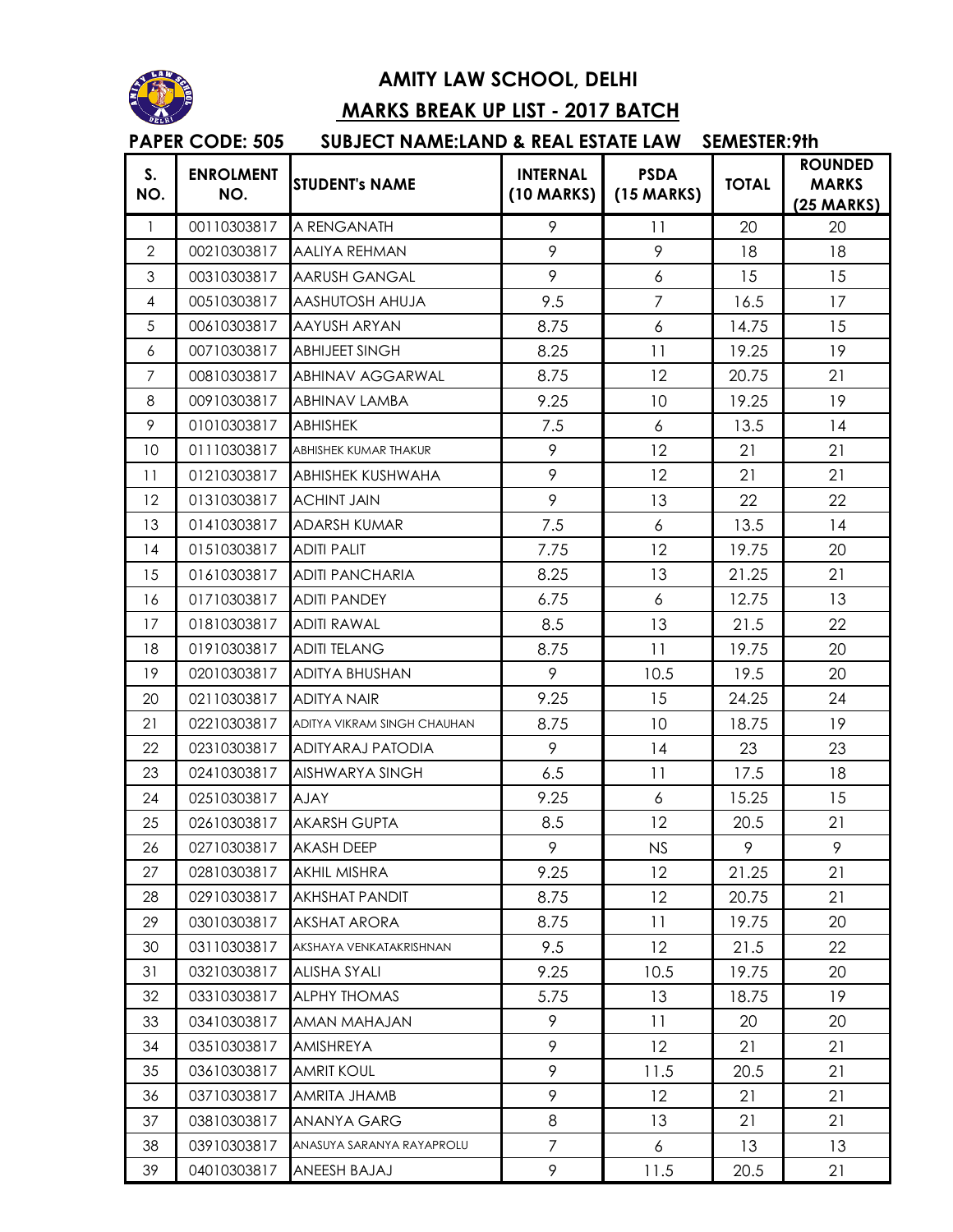

## **AMITY LAW SCHOOL, DELHI**

## **MARKS BREAK UP LIST - 2017 BATCH**

## **S. NO. ENROLMENT NO.** STUDENT's NAME **INTERNAL**<br>
NO. **INTERNAL (10 MARKS) PSDA (15 MARKS) TOTAL ROUNDED MARKS (25 MARKS)** 1 00110303817 A RENGANATH 19 11 20 20 2 00210303817 AALIYA REHMAN 19 9 9 9 18 18 3 00310303817 AARUSH GANGAL 19 9 6 15 15 4 00510303817 AASHUTOSH AHUJA 19.5 7 16.5 17 5 00610303817 AAYUSH ARYAN 18.75 6 14.75 15 6 00710303817 ABHIJEET SINGH 8.25 11 19.25 19 7 00810303817 ABHINAV AGGARWAL 8.75 12 20.75 21 8 00910303817 ABHINAV LAMBA 19.25 10 10 19.25 19 9 01010303817 ABHISHEK 1 7.5 6 13.5 14 10 01110303817 ABHISHEK KUMAR THAKUR 19 12 21 21 11 01210303817 ABHISHEK KUSHWAHA 19 12 21 21 12 01310303817 ACHINT JAIN 19 19 13 22 22 13 01410303817 ADARSH KUMAR 17.5 6 13.5 14 14 01510303817 ADITI PALIT 17.75 1 2 19.75 20 15 01610303817 ADITI PANCHARIA 18.25 13 21.25 21 16 01710303817 ADITI PANDEY 6.75 6.75 6 12.75 13 17 01810303817 ADITI RAWAL 8.5 1 3 21.5 22 18 01910303817 ADITI TELANG 8.75 11 19.75 20 19 02010303817 ADITYA BHUSHAN 19 9 10.5 19.5 20 20 02110303817 ADITYA NAIR 19.25 1 9.25 1 24.25 24 21 02210303817 ADITYA VIKRAM SINGH CHAUHAN 8.75 10 10 18.75 19 22 02310303817 ADITYARAJ PATODIA 9 14 23 23 23 02410303817 AISHWARYA SINGH 6.5 1 11 17.5 18 24 02510303817 AJAY 15.25 1 9.25 1 6 15.25 15.25 15 25 02610303817 AKARSH GUPTA 18.5 12 20.5 21 26 02710303817 AKASH DEEP 9 9 NS 9 9 27 02810303817 AKHIL MISHRA 9.25 12 21.25 21 28 02910303817 AKHSHAT PANDIT 18.75 12 20.75 21 29 03010303817 AKSHAT ARORA 8.75 1 1 19.75 20 30 03110303817 AKSHAYA VENKATAKRISHNAN 19.5 12 21.5 22 31 03210303817 ALISHA SYALI 9.25 10.5 19.75 20 32 03310303817 ALPHYTHOMAS 6.75 1 13 18.75 19 33 03410303817 AMAN MAHAJAN 9 11 20 20 34 03510303817 AMISHREYA 9 9 12 21 21 35 03610303817 AMRIT KOUL 9 11.5 20.5 21 36 03710303817 AMRITA JHAMB 9 9 12 21 21 37 03810303817 ANANYA GARG 8 1 3 21 21 38 03910303817 ANASUYA SARANYA RAYAPROLU 7 | 6 | 13 | 13 39 04010303817 ANEESH BAJAJ 9 11.5 20.5 21 **PAPER CODE: 505 SUBJECT NAME:LAND & REAL ESTATE LAW SEMESTER:9th**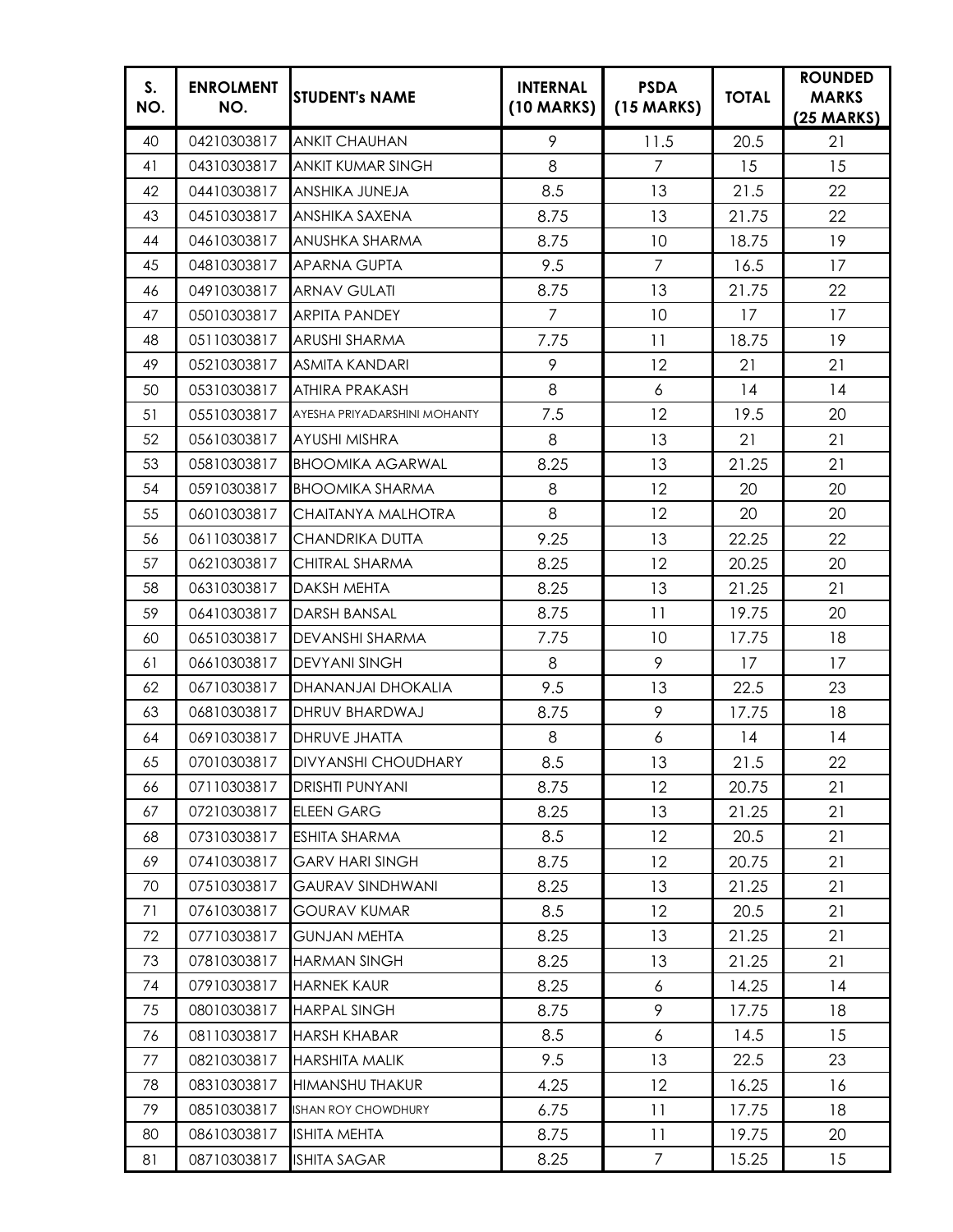| S.<br>NO. | <b>ENROLMENT</b><br>NO. | <b>STUDENT's NAME</b>             | <b>INTERNAL</b><br>(10 MARKS) | <b>PSDA</b><br>$(15$ MARKS) | <b>TOTAL</b> | <b>ROUNDED</b><br><b>MARKS</b><br>$(25 \text{ MARKS})$ |
|-----------|-------------------------|-----------------------------------|-------------------------------|-----------------------------|--------------|--------------------------------------------------------|
| 40        | 04210303817             | <b>ANKIT CHAUHAN</b>              | 9                             | 11.5                        | 20.5         | 21                                                     |
| 41        | 04310303817             | ANKIT KUMAR SINGH                 | 8                             | $\overline{7}$              | 15           | 15                                                     |
| 42        | 04410303817             | ANSHIKA JUNEJA                    | 8.5                           | 13                          | 21.5         | 22                                                     |
| 43        | 04510303817             | ANSHIKA SAXENA                    | 8.75                          | 13                          | 21.75        | 22                                                     |
| 44        | 04610303817             | ANUSHKA SHARMA                    | 8.75                          | 10                          | 18.75        | 19                                                     |
| 45        | 04810303817             | <b>APARNA GUPTA</b>               | 9.5                           | $\overline{7}$              | 16.5         | 17                                                     |
| 46        | 04910303817             | <b>ARNAV GULATI</b>               | 8.75                          | 13                          | 21.75        | 22                                                     |
| 47        | 05010303817             | <b>ARPITA PANDEY</b>              | $\overline{7}$                | 10                          | 17           | 17                                                     |
| 48        | 05110303817             | <b>ARUSHI SHARMA</b>              | 7.75                          | 11                          | 18.75        | 19                                                     |
| 49        | 05210303817             | <b>ASMITA KANDARI</b>             | 9                             | 12                          | 21           | 21                                                     |
| 50        | 05310303817             | ATHIRA PRAKASH                    | 8                             | 6                           | 14           | 14                                                     |
| 51        | 05510303817             | AYESHA PRIYADARSHINI MOHANTY      | 7.5                           | 12                          | 19.5         | 20                                                     |
| 52        | 05610303817             | AYUSHI MISHRA                     | 8                             | 13                          | 21           | 21                                                     |
| 53        | 05810303817             | <b>BHOOMIKA AGARWAL</b>           | 8.25                          | 13                          | 21.25        | 21                                                     |
| 54        | 05910303817             | <b>BHOOMIKA SHARMA</b>            | 8                             | 12                          | 20           | 20                                                     |
| 55        | 06010303817             | CHAITANYA MALHOTRA                | 8                             | 12                          | 20           | 20                                                     |
| 56        | 06110303817             | CHANDRIKA DUTTA                   | 9.25                          | 13                          | 22.25        | 22                                                     |
| 57        | 06210303817             | CHITRAL SHARMA                    | 8.25                          | 12                          | 20.25        | 20                                                     |
| 58        | 06310303817             | DAKSH MEHTA                       | 8.25                          | 13                          | 21.25        | 21                                                     |
| 59        | 06410303817             | <b>DARSH BANSAL</b>               | 8.75                          | 11                          | 19.75        | 20                                                     |
| 60        | 06510303817             | DEVANSHI SHARMA                   | 7.75                          | 10                          | 17.75        | 18                                                     |
| 61        | 06610303817             | <b>DEVYANI SINGH</b>              | 8                             | 9                           | 17           | 17                                                     |
| 62        | 06710303817             | DHANANJAI DHOKALIA                | 9.5                           | 13                          | 22.5         | 23                                                     |
| 63        | 06810303817             | DHRUV BHARDWAJ                    | 8.75                          | 9                           | 17.75        | 18                                                     |
| 64        | 06910303817             | <b>DHRUVE JHATTA</b>              | 8                             | $\boldsymbol{6}$            | 14           | 14                                                     |
| 65        |                         | 07010303817   DIVYANSHI CHOUDHARY | 8.5                           | 13                          | 21.5         | 22                                                     |
| 66        | 07110303817             | <b>DRISHTI PUNYANI</b>            | 8.75                          | 12                          | 20.75        | 21                                                     |
| 67        | 07210303817             | <b>ELEEN GARG</b>                 | 8.25                          | 13                          | 21.25        | 21                                                     |
| 68        | 07310303817             | <b>ESHITA SHARMA</b>              | 8.5                           | 12                          | 20.5         | 21                                                     |
| 69        | 07410303817             | <b>GARV HARI SINGH</b>            | 8.75                          | 12                          | 20.75        | 21                                                     |
| 70        | 07510303817             | <b>GAURAV SINDHWANI</b>           | 8.25                          | 13                          | 21.25        | 21                                                     |
| 71        | 07610303817             | <b>GOURAV KUMAR</b>               | 8.5                           | 12                          | 20.5         | 21                                                     |
| 72        | 07710303817             | <b>GUNJAN MEHTA</b>               | 8.25                          | 13                          | 21.25        | 21                                                     |
| 73        | 07810303817             | <b>HARMAN SINGH</b>               | 8.25                          | 13                          | 21.25        | 21                                                     |
| 74        | 07910303817             | <b>HARNEK KAUR</b>                | 8.25                          | 6                           | 14.25        | 14                                                     |
| 75        | 08010303817             | <b>HARPAL SINGH</b>               | 8.75                          | 9                           | 17.75        | 18                                                     |
| 76        | 08110303817             | <b>HARSH KHABAR</b>               | 8.5                           | $\boldsymbol{6}$            | 14.5         | 15                                                     |
| 77        | 08210303817             | <b>HARSHITA MALIK</b>             | 9.5                           | 13                          | 22.5         | 23                                                     |
| 78        | 08310303817             | <b>HIMANSHU THAKUR</b>            | 4.25                          | $12 \,$                     | 16.25        | 16                                                     |
| 79        | 08510303817             | ISHAN ROY CHOWDHURY               | 6.75                          | 11                          | 17.75        | 18                                                     |
| 80        | 08610303817             | <b>ISHITA MEHTA</b>               | 8.75                          | 11                          | 19.75        | 20                                                     |
| 81        | 08710303817             | <b>ISHITA SAGAR</b>               | 8.25                          | $\overline{7}$              | 15.25        | 15                                                     |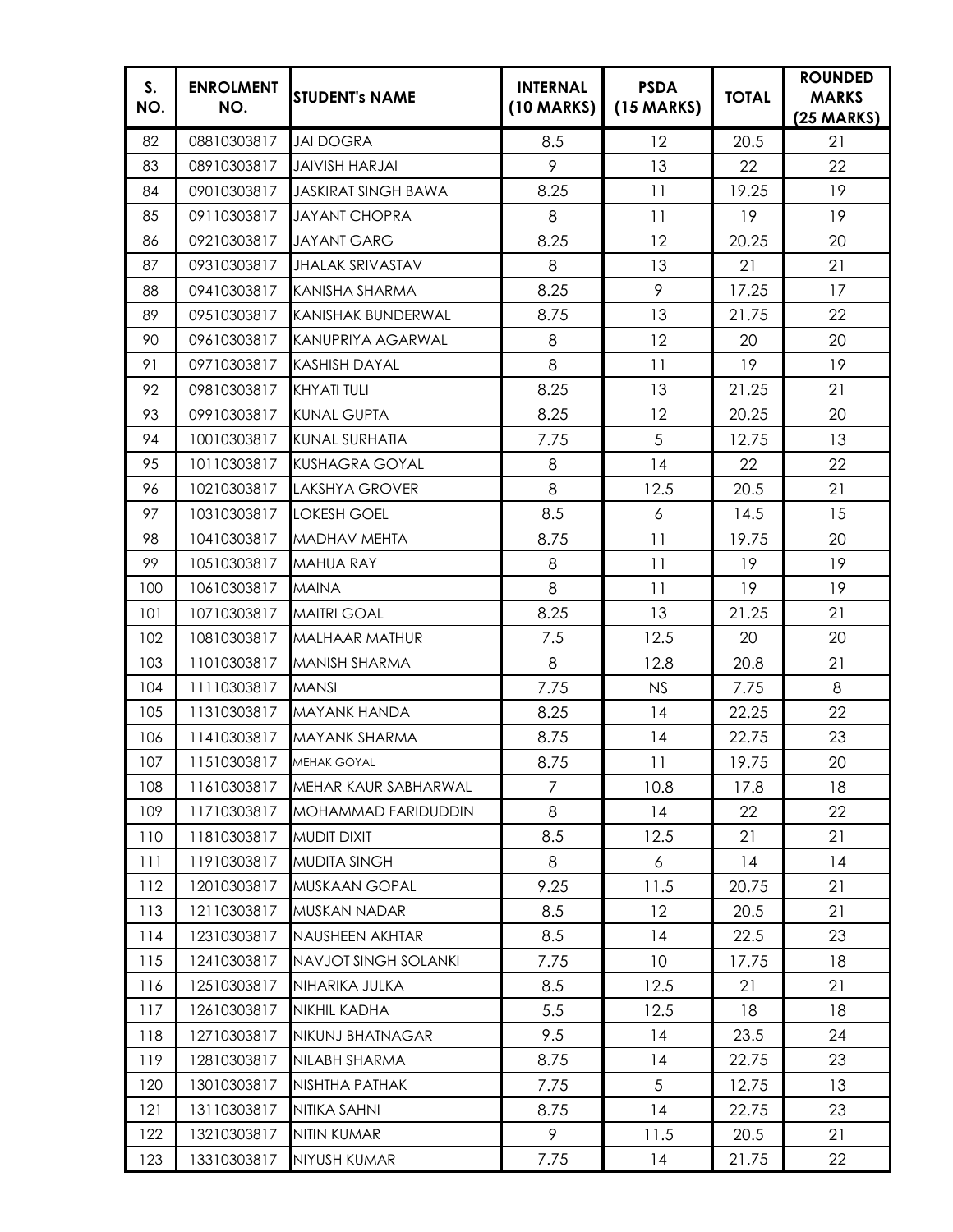| S.<br>NO. | <b>ENROLMENT</b><br>NO. | <b>STUDENT's NAME</b>       | <b>INTERNAL</b><br>(10 MARKS) | <b>PSDA</b><br>$(15$ MARKS) | <b>TOTAL</b> | <b>ROUNDED</b><br><b>MARKS</b><br>$(25 \text{ MARKS})$ |
|-----------|-------------------------|-----------------------------|-------------------------------|-----------------------------|--------------|--------------------------------------------------------|
| 82        | 08810303817             | <b>JAI DOGRA</b>            | 8.5                           | 12                          | 20.5         | 21                                                     |
| 83        | 08910303817             | <b>JAIVISH HARJAI</b>       | 9                             | 13                          | 22           | 22                                                     |
| 84        | 09010303817             | <b>JASKIRAT SINGH BAWA</b>  | 8.25                          | 11                          | 19.25        | 19                                                     |
| 85        | 09110303817             | <b>JAYANT CHOPRA</b>        | 8                             | 11                          | 19           | 19                                                     |
| 86        | 09210303817             | <b>JAYANT GARG</b>          | 8.25                          | 12                          | 20.25        | 20                                                     |
| 87        | 09310303817             | <b>JHALAK SRIVASTAV</b>     | 8                             | 13                          | 21           | 21                                                     |
| 88        | 09410303817             | KANISHA SHARMA              | 8.25                          | 9                           | 17.25        | 17                                                     |
| 89        | 09510303817             | KANISHAK BUNDERWAL          | 8.75                          | 13                          | 21.75        | 22                                                     |
| 90        | 09610303817             | KANUPRIYA AGARWAL           | 8                             | 12                          | 20           | 20                                                     |
| 91        | 09710303817             | <b>KASHISH DAYAL</b>        | 8                             | 11                          | 19           | 19                                                     |
| 92        | 09810303817             | <b>KHYATI TULI</b>          | 8.25                          | 13                          | 21.25        | 21                                                     |
| 93        | 09910303817             | <b>KUNAL GUPTA</b>          | 8.25                          | 12                          | 20.25        | 20                                                     |
| 94        | 10010303817             | <b>KUNAL SURHATIA</b>       | 7.75                          | 5                           | 12.75        | 13                                                     |
| 95        | 10110303817             | <b>KUSHAGRA GOYAL</b>       | 8                             | 14                          | 22           | 22                                                     |
| 96        | 10210303817             | <b>LAKSHYA GROVER</b>       | 8                             | 12.5                        | 20.5         | 21                                                     |
| 97        | 10310303817             | <b>LOKESH GOEL</b>          | 8.5                           | 6                           | 14.5         | 15                                                     |
| 98        | 10410303817             | <b>MADHAV MEHTA</b>         | 8.75                          | 11                          | 19.75        | 20                                                     |
| 99        | 10510303817             | <b>MAHUA RAY</b>            | 8                             | 11                          | 19           | 19                                                     |
| 100       | 10610303817             | <b>MAINA</b>                | 8                             | 11                          | 19           | 19                                                     |
| 101       | 10710303817             | <b>MAITRI GOAL</b>          | 8.25                          | 13                          | 21.25        | 21                                                     |
| 102       | 10810303817             | <b>MALHAAR MATHUR</b>       | 7.5                           | 12.5                        | 20           | 20                                                     |
| 103       | 11010303817             | MANISH SHARMA               | 8                             | 12.8                        | 20.8         | 21                                                     |
| 104       | 11110303817             | <b>MANSI</b>                | 7.75                          | NS                          | 7.75         | 8                                                      |
| 105       | 11310303817             | <b>MAYANK HANDA</b>         | 8.25                          | 14                          | 22.25        | 22                                                     |
| 106       | 11410303817             | MAYANK SHARMA               | 8.75                          | 14                          | 22.75        | 23                                                     |
| 107       | 11510303817 MEHAK GOYAL |                             | 8.75                          | 11                          | 19.75        | 20                                                     |
| 108       | 11610303817             | MEHAR KAUR SABHARWAL        | 7                             | 10.8                        | 17.8         | 18                                                     |
| 109       | 11710303817             | MOHAMMAD FARIDUDDIN         | 8                             | 14                          | 22           | 22                                                     |
| 110       | 11810303817             | <b>MUDIT DIXIT</b>          | 8.5                           | 12.5                        | 21           | 21                                                     |
| 111       | 11910303817             | <b>MUDITA SINGH</b>         | 8                             | 6                           | 14           | 14                                                     |
| 112       | 12010303817             | MUSKAAN GOPAL               | 9.25                          | 11.5                        | 20.75        | 21                                                     |
| 113       | 12110303817             | MUSKAN NADAR                | 8.5                           | 12                          | 20.5         | 21                                                     |
| 114       | 12310303817             | NAUSHEEN AKHTAR             | 8.5                           | 14                          | 22.5         | 23                                                     |
| 115       | 12410303817             | <b>NAVJOT SINGH SOLANKI</b> | 7.75                          | 10 <sup>°</sup>             | 17.75        | 18                                                     |
| 116       | 12510303817             | NIHARIKA JULKA              | 8.5                           | 12.5                        | 21           | 21                                                     |
| 117       | 12610303817             | NIKHIL KADHA                | 5.5                           | 12.5                        | 18           | 18                                                     |
| 118       | 12710303817             | NIKUNJ BHATNAGAR            | 9.5                           | 14                          | 23.5         | 24                                                     |
| 119       | 12810303817             | NILABH SHARMA               | 8.75                          | 14                          | 22.75        | 23                                                     |
| 120       | 13010303817             | NISHTHA PATHAK              | 7.75                          | 5                           | 12.75        | 13                                                     |
| 121       | 13110303817             | NITIKA SAHNI                | 8.75                          | 14                          | 22.75        | 23                                                     |
| 122       | 13210303817             | NITIN KUMAR                 | 9                             | 11.5                        | 20.5         | 21                                                     |
| 123       | 13310303817             | NIYUSH KUMAR                | 7.75                          | 14                          | 21.75        | 22                                                     |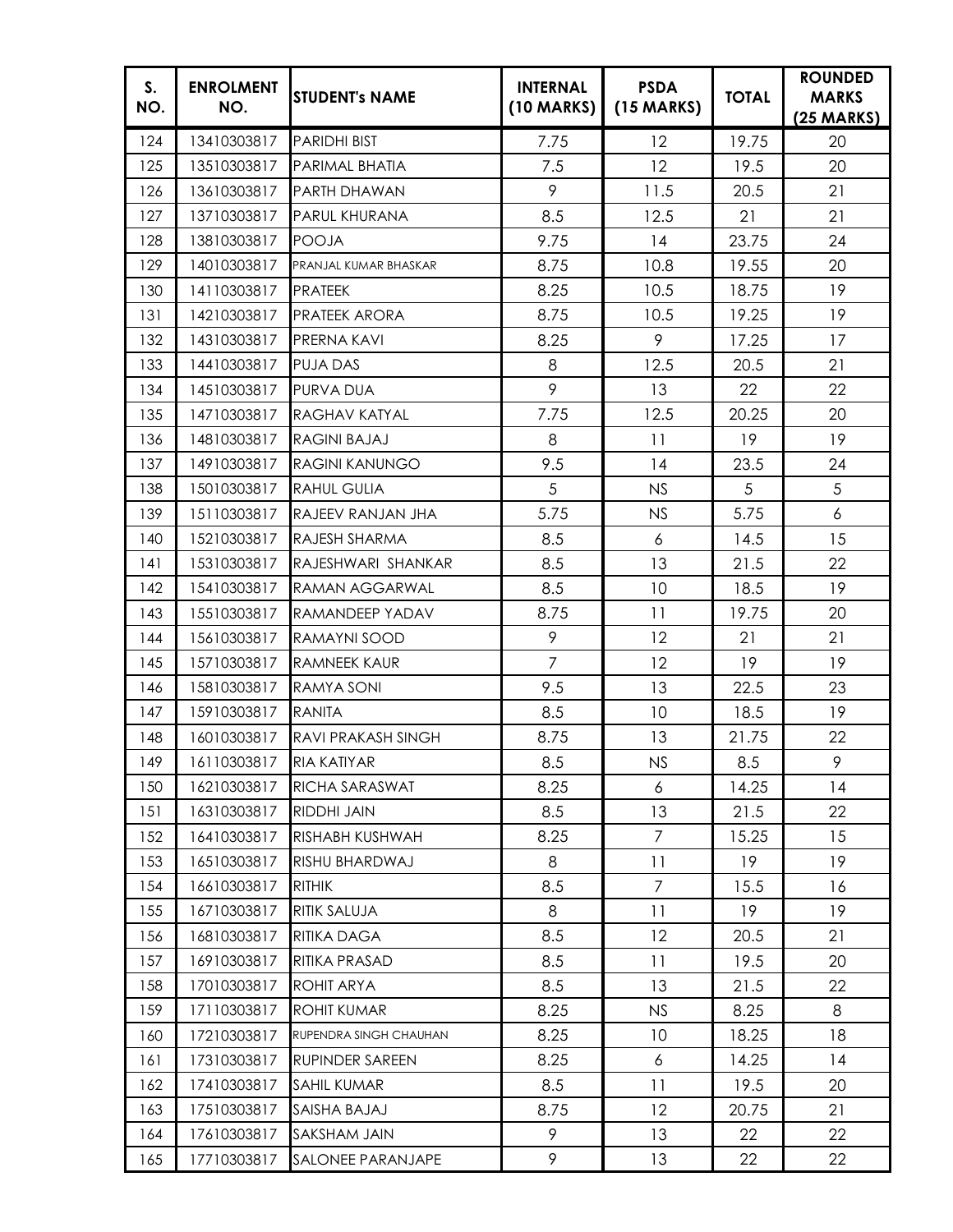| S.<br>NO. | <b>ENROLMENT</b><br>NO. | <b>STUDENT's NAME</b>  | <b>INTERNAL</b><br>(10 MARKS) | <b>PSDA</b><br>$(15$ MARKS) | <b>TOTAL</b> | <b>ROUNDED</b><br><b>MARKS</b><br>$(25 \text{ MARKS})$ |
|-----------|-------------------------|------------------------|-------------------------------|-----------------------------|--------------|--------------------------------------------------------|
| 124       | 13410303817             | <b>PARIDHI BIST</b>    | 7.75                          | 12                          | 19.75        | 20                                                     |
| 125       | 13510303817             | PARIMAL BHATIA         | 7.5                           | 12                          | 19.5         | 20                                                     |
| 126       | 13610303817             | PARTH DHAWAN           | 9                             | 11.5                        | 20.5         | 21                                                     |
| 127       | 13710303817             | PARUL KHURANA          | 8.5                           | 12.5                        | 21           | 21                                                     |
| 128       | 13810303817             | <b>POOJA</b>           | 9.75                          | 14                          | 23.75        | 24                                                     |
| 129       | 14010303817             | PRANJAL KUMAR BHASKAR  | 8.75                          | 10.8                        | 19.55        | 20                                                     |
| 130       | 14110303817             | <b>PRATEEK</b>         | 8.25                          | 10.5                        | 18.75        | 19                                                     |
| 131       | 14210303817             | <b>PRATEEK ARORA</b>   | 8.75                          | 10.5                        | 19.25        | 19                                                     |
| 132       | 14310303817             | PRERNA KAVI            | 8.25                          | 9                           | 17.25        | 17                                                     |
| 133       | 14410303817             | <b>PUJA DAS</b>        | 8                             | 12.5                        | 20.5         | 21                                                     |
| 134       | 14510303817             | <b>PURVA DUA</b>       | 9                             | 13                          | 22           | 22                                                     |
| 135       | 14710303817             | <b>RAGHAV KATYAL</b>   | 7.75                          | 12.5                        | 20.25        | 20                                                     |
| 136       | 14810303817             | RAGINI BAJAJ           | 8                             | 11                          | 19           | 19                                                     |
| 137       | 14910303817             | <b>RAGINI KANUNGO</b>  | 9.5                           | 14                          | 23.5         | 24                                                     |
| 138       | 15010303817             | <b>RAHUL GULIA</b>     | 5                             | <b>NS</b>                   | 5            | 5                                                      |
| 139       | 15110303817             | RAJEEV RANJAN JHA      | 5.75                          | <b>NS</b>                   | 5.75         | 6                                                      |
| 140       | 15210303817             | RAJESH SHARMA          | 8.5                           | 6                           | 14.5         | 15                                                     |
| 141       | 15310303817             | RAJESHWARI SHANKAR     | 8.5                           | 13                          | 21.5         | 22                                                     |
| 142       | 15410303817             | RAMAN AGGARWAL         | 8.5                           | 10                          | 18.5         | 19                                                     |
| 143       | 15510303817             | RAMANDEEP YADAV        | 8.75                          | 11                          | 19.75        | 20                                                     |
| 144       | 15610303817             | RAMAYNI SOOD           | 9                             | 12                          | 21           | 21                                                     |
| 145       | 15710303817             | <b>RAMNEEK KAUR</b>    | $\overline{7}$                | 12                          | 19           | 19                                                     |
| 146       | 15810303817             | RAMYA SONI             | 9.5                           | 13                          | 22.5         | 23                                                     |
| 147       | 15910303817             | <b>RANITA</b>          | 8.5                           | 10                          | 18.5         | 19                                                     |
| 148       | 16010303817             | RAVI PRAKASH SINGH     | 8.75                          | 13                          | 21.75        | 22                                                     |
| 149       | 16110303817 RIA KATIYAR |                        | 8.5                           | NS                          | 8.5          | 9                                                      |
| 150       | 16210303817             | RICHA SARASWAT         | 8.25                          | 6                           | 14.25        | 14                                                     |
| 151       | 16310303817             | <b>RIDDHI JAIN</b>     | 8.5                           | 13                          | 21.5         | 22                                                     |
| 152       | 16410303817             | RISHABH KUSHWAH        | 8.25                          | $\overline{7}$              | 15.25        | 15                                                     |
| 153       | 16510303817             | RISHU BHARDWAJ         | 8                             | 11                          | 19           | 19                                                     |
| 154       | 16610303817             | <b>RITHIK</b>          | 8.5                           | $\overline{7}$              | 15.5         | 16                                                     |
| 155       | 16710303817             | RITIK SALUJA           | 8                             | 11                          | 19           | 19                                                     |
| 156       | 16810303817             | <b>RITIKA DAGA</b>     | 8.5                           | 12                          | 20.5         | 21                                                     |
| 157       | 16910303817             | RITIKA PRASAD          | 8.5                           | 11                          | 19.5         | 20                                                     |
| 158       | 17010303817             | ROHIT ARYA             | 8.5                           | 13                          | 21.5         | 22                                                     |
| 159       | 17110303817             | ROHIT KUMAR            | 8.25                          | NS.                         | 8.25         | 8                                                      |
| 160       | 17210303817             | RUPENDRA SINGH CHAUHAN | 8.25                          | 10                          | 18.25        | 18                                                     |
| 161       | 17310303817             | RUPINDER SAREEN        | 8.25                          | 6                           | 14.25        | 14                                                     |
| 162       | 17410303817             | SAHIL KUMAR            | 8.5                           | 11                          | 19.5         | 20                                                     |
| 163       | 17510303817             | SAISHA BAJAJ           | 8.75                          | 12                          | 20.75        | 21                                                     |
| 164       | 17610303817             | SAKSHAM JAIN           | 9                             | 13                          | 22           | 22                                                     |
| 165       | 17710303817             | SALONEE PARANJAPE      | 9                             | 13                          | 22           | 22                                                     |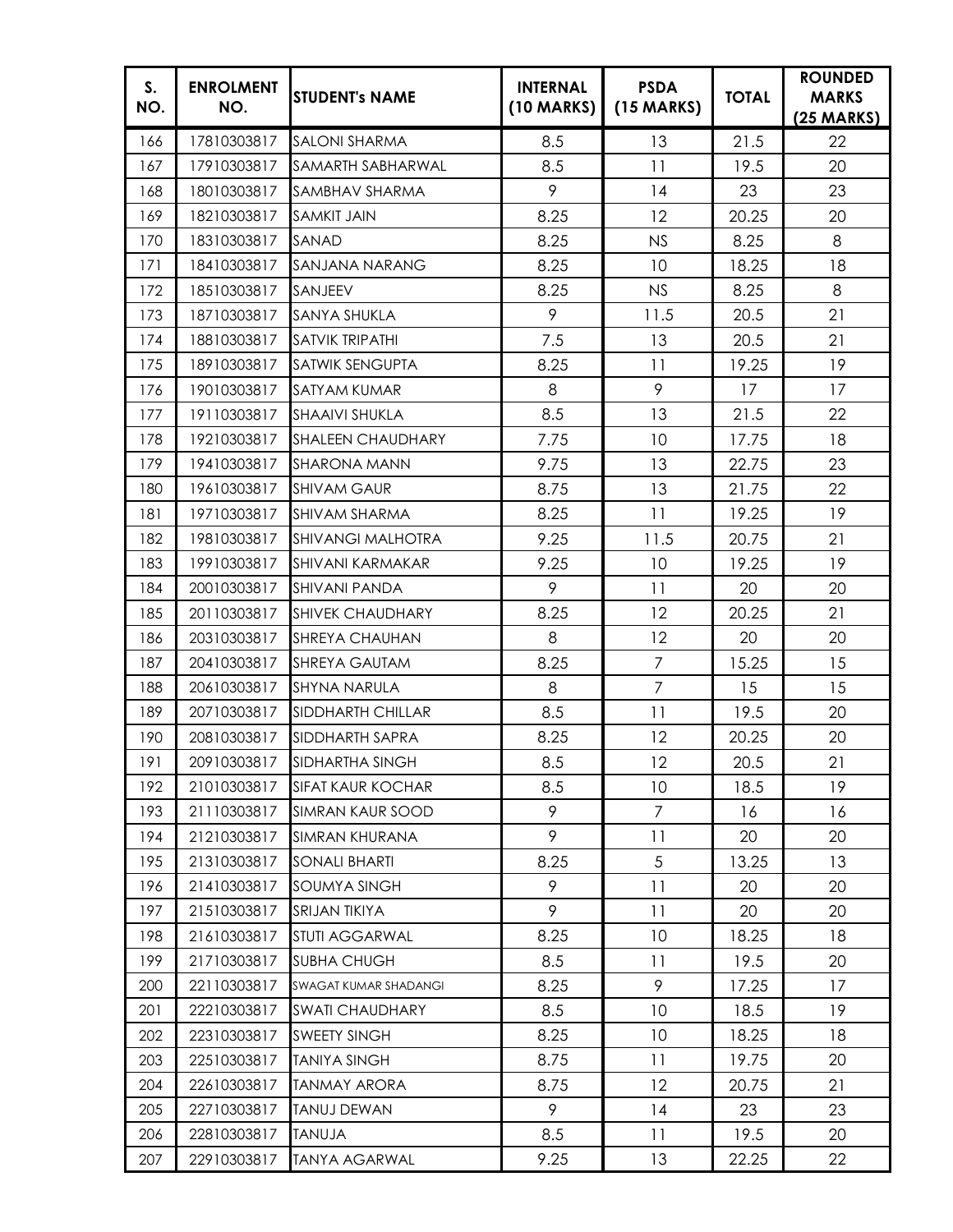| S.<br>NO. | <b>ENROLMENT</b><br>NO. | <b>STUDENT's NAME</b>       | <b>INTERNAL</b><br>$(10$ MARKS) | <b>PSDA</b><br>$(15$ MARKS) | <b>TOTAL</b> | <b>ROUNDED</b><br><b>MARKS</b><br>$(25$ MARKS) |
|-----------|-------------------------|-----------------------------|---------------------------------|-----------------------------|--------------|------------------------------------------------|
| 166       | 17810303817             | <b>SALONI SHARMA</b>        | 8.5                             | 13                          | 21.5         | 22                                             |
| 167       | 17910303817             | SAMARTH SABHARWAL           | 8.5                             | 11                          | 19.5         | 20                                             |
| 168       | 18010303817             | SAMBHAV SHARMA              | 9                               | 14                          | 23           | 23                                             |
| 169       | 18210303817             | <b>SAMKIT JAIN</b>          | 8.25                            | 12                          | 20.25        | 20                                             |
| 170       | 18310303817             | SANAD                       | 8.25                            | <b>NS</b>                   | 8.25         | 8                                              |
| 171       | 18410303817             | SANJANA NARANG              | 8.25                            | 10                          | 18.25        | 18                                             |
| 172       | 18510303817             | SANJEEV                     | 8.25                            | <b>NS</b>                   | 8.25         | 8                                              |
| 173       | 18710303817             | SANYA SHUKLA                | 9                               | 11.5                        | 20.5         | 21                                             |
| 174       | 18810303817             | SATVIK TRIPATHI             | 7.5                             | 13                          | 20.5         | 21                                             |
| 175       | 18910303817             | <b>SATWIK SENGUPTA</b>      | 8.25                            | 11                          | 19.25        | 19                                             |
| 176       | 19010303817             | <b>SATYAM KUMAR</b>         | 8                               | 9                           | 17           | 17                                             |
| 177       | 19110303817             | <b>SHAAIVI SHUKLA</b>       | 8.5                             | 13                          | 21.5         | 22                                             |
| 178       | 19210303817             | <b>SHALEEN CHAUDHARY</b>    | 7.75                            | 10                          | 17.75        | 18                                             |
| 179       | 19410303817             | <b>SHARONA MANN</b>         | 9.75                            | 13                          | 22.75        | 23                                             |
| 180       | 19610303817             | <b>SHIVAM GAUR</b>          | 8.75                            | 13                          | 21.75        | 22                                             |
| 181       | 19710303817             | <b>SHIVAM SHARMA</b>        | 8.25                            | 11                          | 19.25        | 19                                             |
| 182       | 19810303817             | <b>SHIVANGI MALHOTRA</b>    | 9.25                            | 11.5                        | 20.75        | 21                                             |
| 183       | 19910303817             | <b>SHIVANI KARMAKAR</b>     | 9.25                            | 10                          | 19.25        | 19                                             |
| 184       | 20010303817             | <b>SHIVANI PANDA</b>        | 9                               | 11                          | 20           | 20                                             |
| 185       | 20110303817             | <b>SHIVEK CHAUDHARY</b>     | 8.25                            | 12                          | 20.25        | 21                                             |
| 186       | 20310303817             | <b>SHREYA CHAUHAN</b>       | 8                               | 12                          | 20           | 20                                             |
| 187       | 20410303817             | <b>SHREYA GAUTAM</b>        | 8.25                            | $\overline{7}$              | 15.25        | 15                                             |
| 188       | 20610303817             | <b>SHYNA NARULA</b>         | 8                               | $\overline{7}$              | 15           | 15                                             |
| 189       | 20710303817             | <b>SIDDHARTH CHILLAR</b>    | 8.5                             | 11                          | 19.5         | 20                                             |
| 190       | 20810303817             | SIDDHARTH SAPRA             | 8.25                            | 12                          | 20.25        | 20                                             |
| 191       |                         | 20910303817 SIDHARTHA SINGH | 8.5                             | 12                          | 20.5         | 21                                             |
| 192       | 21010303817             | <b>SIFAT KAUR KOCHAR</b>    | 8.5                             | 10                          | 18.5         | 19                                             |
| 193       | 21110303817             | <b>SIMRAN KAUR SOOD</b>     | 9                               | 7                           | 16           | 16                                             |
| 194       | 21210303817             | SIMRAN KHURANA              | 9                               | 11                          | 20           | 20                                             |
| 195       | 21310303817             | <b>SONALI BHARTI</b>        | 8.25                            | 5                           | 13.25        | 13                                             |
| 196       | 21410303817             | SOUMYA SINGH                | 9                               | 11                          | 20           | 20                                             |
| 197       | 21510303817             | <b>SRIJAN TIKIYA</b>        | 9                               | 11                          | 20           | 20                                             |
| 198       | 21610303817             | STUTI AGGARWAL              | 8.25                            | 10                          | 18.25        | 18                                             |
| 199       | 21710303817             | <b>SUBHA CHUGH</b>          | 8.5                             | 11                          | 19.5         | 20                                             |
| 200       | 22110303817             | SWAGAT KUMAR SHADANGI       | 8.25                            | 9                           | 17.25        | 17                                             |
| 201       | 22210303817             | <b>SWATI CHAUDHARY</b>      | 8.5                             | 10                          | 18.5         | 19                                             |
| 202       | 22310303817             | <b>SWEETY SINGH</b>         | 8.25                            | 10                          | 18.25        | 18                                             |
| 203       | 22510303817             | <b>TANIYA SINGH</b>         | 8.75                            | 11                          | 19.75        | 20                                             |
| 204       | 22610303817             | <b>TANMAY ARORA</b>         | 8.75                            | 12                          | 20.75        | 21                                             |
| 205       | 22710303817             | <b>TANUJ DEWAN</b>          | 9                               | 14                          | 23           | 23                                             |
| 206       | 22810303817             | <b>TANUJA</b>               | 8.5                             | 11                          | 19.5         | 20                                             |
| 207       | 22910303817             | <b>TANYA AGARWAL</b>        | 9.25                            | 13                          | 22.25        | 22                                             |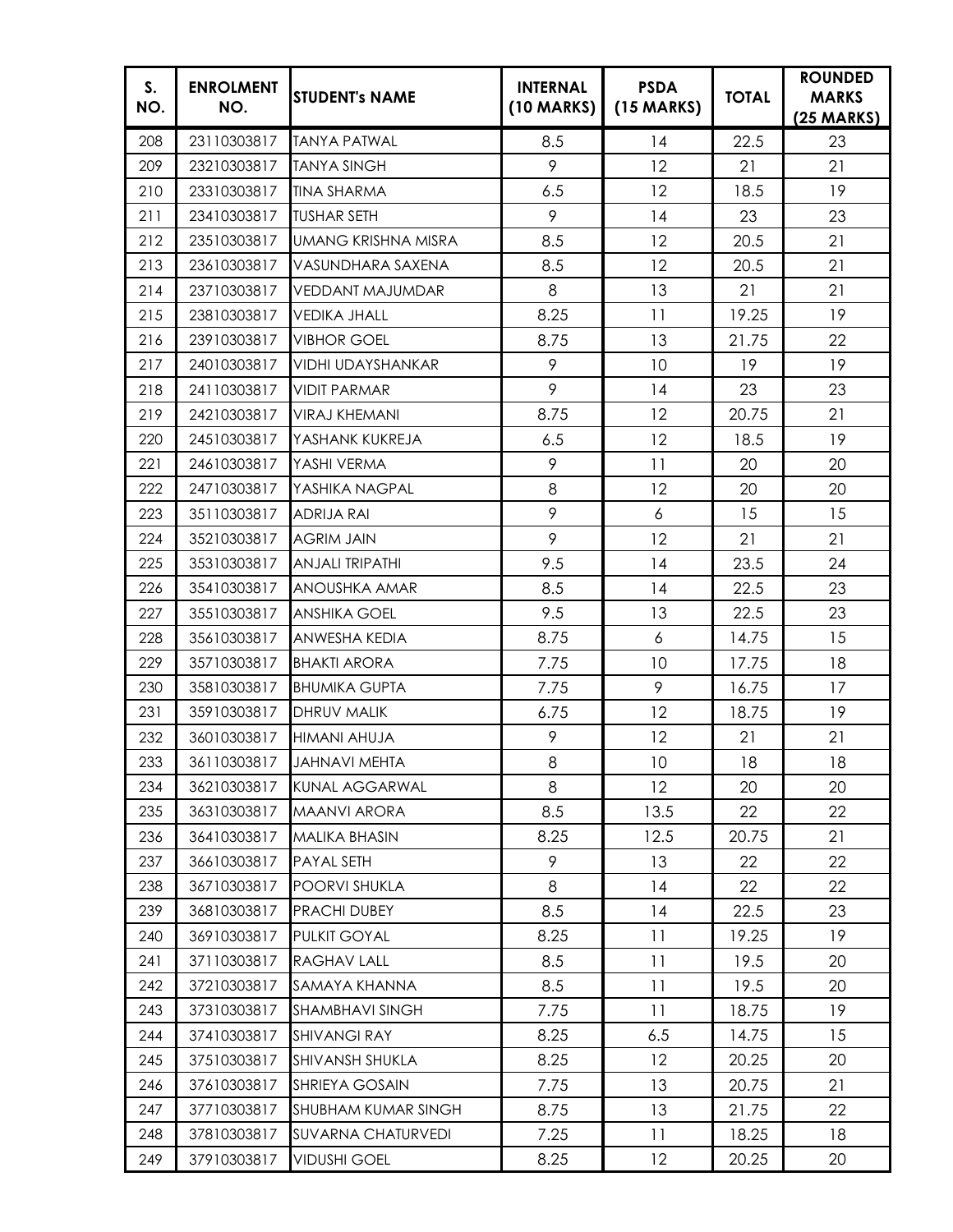| S.<br>NO. | <b>ENROLMENT</b><br>NO. | <b>STUDENT's NAME</b>     | <b>INTERNAL</b><br>(10 MARKS) | <b>PSDA</b><br>$(15$ MARKS) | <b>TOTAL</b> | <b>ROUNDED</b><br><b>MARKS</b><br>$(25 \text{ MARKS})$ |
|-----------|-------------------------|---------------------------|-------------------------------|-----------------------------|--------------|--------------------------------------------------------|
| 208       | 23110303817             | <b>TANYA PATWAL</b>       | 8.5                           | 14                          | 22.5         | 23                                                     |
| 209       | 23210303817             | <b>TANYA SINGH</b>        | 9                             | 12                          | 21           | 21                                                     |
| 210       | 23310303817             | <b>TINA SHARMA</b>        | 6.5                           | 12                          | 18.5         | 19                                                     |
| 211       | 23410303817             | <b>TUSHAR SETH</b>        | 9                             | 14                          | 23           | 23                                                     |
| 212       | 23510303817             | UMANG KRISHNA MISRA       | 8.5                           | 12                          | 20.5         | 21                                                     |
| 213       | 23610303817             | VASUNDHARA SAXENA         | 8.5                           | 12                          | 20.5         | 21                                                     |
| 214       | 23710303817             | VEDDANT MAJUMDAR          | 8                             | 13                          | 21           | 21                                                     |
| 215       | 23810303817             | <b>VEDIKA JHALL</b>       | 8.25                          | 11                          | 19.25        | 19                                                     |
| 216       | 23910303817             | <b>VIBHOR GOEL</b>        | 8.75                          | 13                          | 21.75        | 22                                                     |
| 217       | 24010303817             | VIDHI UDAYSHANKAR         | 9                             | 10                          | 19           | 19                                                     |
| 218       | 24110303817             | <b>VIDIT PARMAR</b>       | 9                             | 14                          | 23           | 23                                                     |
| 219       | 24210303817             | <b>VIRAJ KHEMANI</b>      | 8.75                          | 12                          | 20.75        | 21                                                     |
| 220       | 24510303817             | YASHANK KUKREJA           | 6.5                           | 12                          | 18.5         | 19                                                     |
| 221       | 24610303817             | YASHI VERMA               | 9                             | 11                          | 20           | 20                                                     |
| 222       | 24710303817             | YASHIKA NAGPAL            | 8                             | 12                          | 20           | 20                                                     |
| 223       | 35110303817             | ADRIJA RAI                | 9                             | 6                           | 15           | 15                                                     |
| 224       | 35210303817             | <b>AGRIM JAIN</b>         | 9                             | 12                          | 21           | 21                                                     |
| 225       | 35310303817             | <b>ANJALI TRIPATHI</b>    | 9.5                           | 14                          | 23.5         | 24                                                     |
| 226       | 35410303817             | ANOUSHKA AMAR             | 8.5                           | 14                          | 22.5         | 23                                                     |
| 227       | 35510303817             | <b>ANSHIKA GOEL</b>       | 9.5                           | 13                          | 22.5         | 23                                                     |
| 228       | 35610303817             | ANWESHA KEDIA             | 8.75                          | 6                           | 14.75        | 15                                                     |
| 229       | 35710303817             | <b>BHAKTI ARORA</b>       | 7.75                          | 10                          | 17.75        | 18                                                     |
| 230       | 35810303817             | <b>BHUMIKA GUPTA</b>      | 7.75                          | 9                           | 16.75        | 17                                                     |
| 231       | 35910303817             | DHRUV MALIK               | 6.75                          | 12                          | 18.75        | 19                                                     |
| 232       | 36010303817             | <b>HIMANI AHUJA</b>       | 9                             | 12                          | 21           | 21                                                     |
| 233       |                         | 36110303817 JAHNAVI MEHTA | 8                             | 10                          | 18           | 18                                                     |
| 234       | 36210303817             | <b>KUNAL AGGARWAL</b>     | 8                             | 12                          | 20           | 20                                                     |
| 235       | 36310303817             | <b>MAANVI ARORA</b>       | 8.5                           | 13.5                        | 22           | 22                                                     |
| 236       | 36410303817             | <b>MALIKA BHASIN</b>      | 8.25                          | 12.5                        | 20.75        | 21                                                     |
| 237       | 36610303817             | PAYAL SETH                | 9                             | 13                          | 22           | 22                                                     |
| 238       | 36710303817             | POORVI SHUKLA             | 8                             | 14                          | 22           | 22                                                     |
| 239       | 36810303817             | PRACHI DUBEY              | 8.5                           | 14                          | 22.5         | 23                                                     |
| 240       | 36910303817             | PULKIT GOYAL              | 8.25                          | 11                          | 19.25        | 19                                                     |
| 241       | 37110303817             | RAGHAV LALL               | 8.5                           | 11                          | 19.5         | 20                                                     |
| 242       | 37210303817             | SAMAYA KHANNA             | 8.5                           | 11                          | 19.5         | 20                                                     |
| 243       | 37310303817             | SHAMBHAVI SINGH           | 7.75                          | 11                          | 18.75        | 19                                                     |
| 244       | 37410303817             | <b>SHIVANGI RAY</b>       | 8.25                          | 6.5                         | 14.75        | 15                                                     |
| 245       | 37510303817             | SHIVANSH SHUKLA           | 8.25                          | 12                          | 20.25        | 20                                                     |
| 246       | 37610303817             | SHRIEYA GOSAIN            | 7.75                          | 13                          | 20.75        | 21                                                     |
| 247       | 37710303817             | SHUBHAM KUMAR SINGH       | 8.75                          | 13                          | 21.75        | 22                                                     |
| 248       | 37810303817             | <b>SUVARNA CHATURVEDI</b> | 7.25                          | 11                          | 18.25        | 18                                                     |
| 249       | 37910303817             | <b>VIDUSHI GOEL</b>       | 8.25                          | 12                          | 20.25        | 20                                                     |